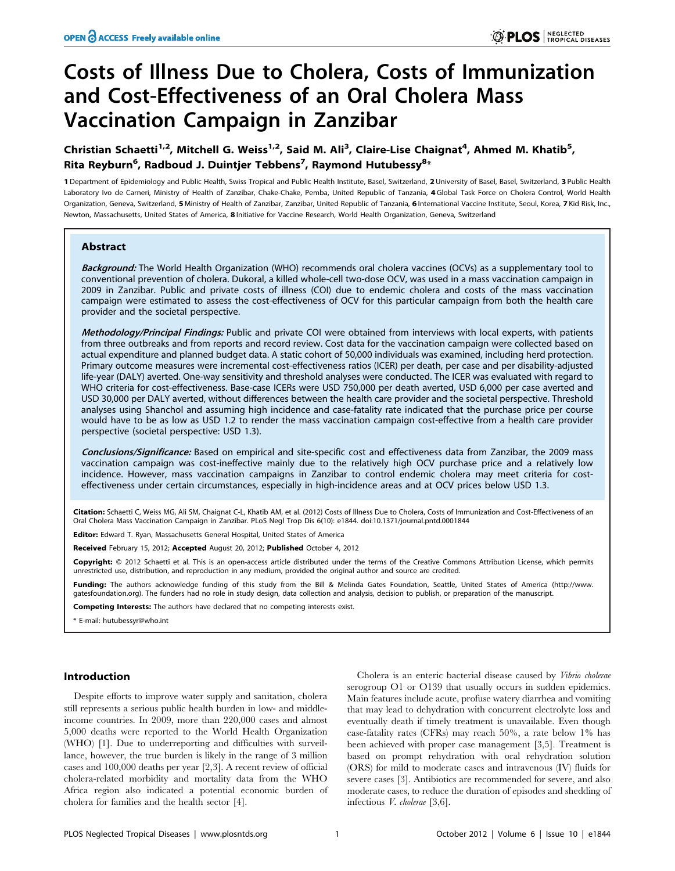# Costs of Illness Due to Cholera, Costs of Immunization and Cost-Effectiveness of an Oral Cholera Mass Vaccination Campaign in Zanzibar

## Christian Schaetti<sup>1,2</sup>, Mitchell G. Weiss<sup>1,2</sup>, Said M. Ali<sup>3</sup>, Claire-Lise Chaignat<sup>4</sup>, Ahmed M. Khatib<sup>5</sup>, Rita Reyburn<sup>6</sup>, Radboud J. Duintjer Tebbens<sup>7</sup>, Raymond Hutubessy<sup>8</sup>\*

1 Department of Epidemiology and Public Health, Swiss Tropical and Public Health Institute, Basel, Switzerland, 2 University of Basel, Basel, Switzerland, 3 Public Health Laboratory Ivo de Carneri, Ministry of Health of Zanzibar, Chake-Chake, Pemba, United Republic of Tanzania, 4 Global Task Force on Cholera Control, World Health Organization, Geneva, Switzerland, 5 Ministry of Health of Zanzibar, Zanzibar, United Republic of Tanzania, 6 International Vaccine Institute, Seoul, Korea, 7 Kid Risk, Inc., Newton, Massachusetts, United States of America, 8 Initiative for Vaccine Research, World Health Organization, Geneva, Switzerland

## Abstract

Background: The World Health Organization (WHO) recommends oral cholera vaccines (OCVs) as a supplementary tool to conventional prevention of cholera. Dukoral, a killed whole-cell two-dose OCV, was used in a mass vaccination campaign in 2009 in Zanzibar. Public and private costs of illness (COI) due to endemic cholera and costs of the mass vaccination campaign were estimated to assess the cost-effectiveness of OCV for this particular campaign from both the health care provider and the societal perspective.

Methodology/Principal Findings: Public and private COI were obtained from interviews with local experts, with patients from three outbreaks and from reports and record review. Cost data for the vaccination campaign were collected based on actual expenditure and planned budget data. A static cohort of 50,000 individuals was examined, including herd protection. Primary outcome measures were incremental cost-effectiveness ratios (ICER) per death, per case and per disability-adjusted life-year (DALY) averted. One-way sensitivity and threshold analyses were conducted. The ICER was evaluated with regard to WHO criteria for cost-effectiveness. Base-case ICERs were USD 750,000 per death averted, USD 6,000 per case averted and USD 30,000 per DALY averted, without differences between the health care provider and the societal perspective. Threshold analyses using Shanchol and assuming high incidence and case-fatality rate indicated that the purchase price per course would have to be as low as USD 1.2 to render the mass vaccination campaign cost-effective from a health care provider perspective (societal perspective: USD 1.3).

Conclusions/Significance: Based on empirical and site-specific cost and effectiveness data from Zanzibar, the 2009 mass vaccination campaign was cost-ineffective mainly due to the relatively high OCV purchase price and a relatively low incidence. However, mass vaccination campaigns in Zanzibar to control endemic cholera may meet criteria for costeffectiveness under certain circumstances, especially in high-incidence areas and at OCV prices below USD 1.3.

Citation: Schaetti C, Weiss MG, Ali SM, Chaignat C-L, Khatib AM, et al. (2012) Costs of Illness Due to Cholera, Costs of Immunization and Cost-Effectiveness of an Oral Cholera Mass Vaccination Campaign in Zanzibar. PLoS Negl Trop Dis 6(10): e1844. doi:10.1371/journal.pntd.0001844

**Editor:** Edward T. Ryan, Massachusetts General Hospital, United States of America

Received February 15, 2012; Accepted August 20, 2012; Published October 4, 2012

Copyright: © 2012 Schaetti et al. This is an open-access article distributed under the terms of the Creative Commons Attribution License, which permits unrestricted use, distribution, and reproduction in any medium, provided the original author and source are credited.

Funding: The authors acknowledge funding of this study from the Bill & Melinda Gates Foundation, Seattle, United States of America (http://www. gatesfoundation.org). The funders had no role in study design, data collection and analysis, decision to publish, or preparation of the manuscript.

Competing Interests: The authors have declared that no competing interests exist.

\* E-mail: hutubessyr@who.int

#### Introduction

Despite efforts to improve water supply and sanitation, cholera still represents a serious public health burden in low- and middleincome countries. In 2009, more than 220,000 cases and almost 5,000 deaths were reported to the World Health Organization (WHO) [1]. Due to underreporting and difficulties with surveillance, however, the true burden is likely in the range of 3 million cases and 100,000 deaths per year [2,3]. A recent review of official cholera-related morbidity and mortality data from the WHO Africa region also indicated a potential economic burden of cholera for families and the health sector [4].

Cholera is an enteric bacterial disease caused by Vibrio cholerae serogroup O1 or O139 that usually occurs in sudden epidemics. Main features include acute, profuse watery diarrhea and vomiting that may lead to dehydration with concurrent electrolyte loss and eventually death if timely treatment is unavailable. Even though case-fatality rates (CFRs) may reach 50%, a rate below 1% has been achieved with proper case management [3,5]. Treatment is based on prompt rehydration with oral rehydration solution (ORS) for mild to moderate cases and intravenous (IV) fluids for severe cases [3]. Antibiotics are recommended for severe, and also moderate cases, to reduce the duration of episodes and shedding of infectious V. cholerae [3,6].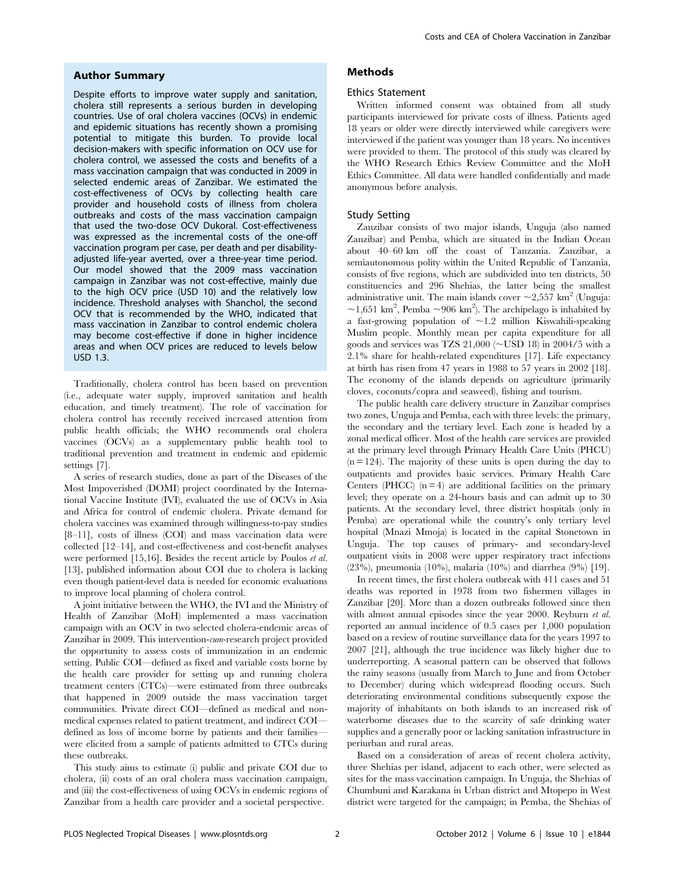#### Author Summary

Despite efforts to improve water supply and sanitation, cholera still represents a serious burden in developing countries. Use of oral cholera vaccines (OCVs) in endemic and epidemic situations has recently shown a promising potential to mitigate this burden. To provide local decision-makers with specific information on OCV use for cholera control, we assessed the costs and benefits of a mass vaccination campaign that was conducted in 2009 in selected endemic areas of Zanzibar. We estimated the cost-effectiveness of OCVs by collecting health care provider and household costs of illness from cholera outbreaks and costs of the mass vaccination campaign that used the two-dose OCV Dukoral. Cost-effectiveness was expressed as the incremental costs of the one-off vaccination program per case, per death and per disabilityadjusted life-year averted, over a three-year time period. Our model showed that the 2009 mass vaccination campaign in Zanzibar was not cost-effective, mainly due to the high OCV price (USD 10) and the relatively low incidence. Threshold analyses with Shanchol, the second OCV that is recommended by the WHO, indicated that mass vaccination in Zanzibar to control endemic cholera may become cost-effective if done in higher incidence areas and when OCV prices are reduced to levels below USD 1.3.

Traditionally, cholera control has been based on prevention (i.e., adequate water supply, improved sanitation and health education, and timely treatment). The role of vaccination for cholera control has recently received increased attention from public health officials; the WHO recommends oral cholera vaccines (OCVs) as a supplementary public health tool to traditional prevention and treatment in endemic and epidemic settings [7].

A series of research studies, done as part of the Diseases of the Most Impoverished (DOMI) project coordinated by the International Vaccine Institute (IVI), evaluated the use of OCVs in Asia and Africa for control of endemic cholera. Private demand for cholera vaccines was examined through willingness-to-pay studies [8–11], costs of illness (COI) and mass vaccination data were collected [12–14], and cost-effectiveness and cost-benefit analyses were performed [15,16]. Besides the recent article by Poulos et al. [13], published information about COI due to cholera is lacking even though patient-level data is needed for economic evaluations to improve local planning of cholera control.

A joint initiative between the WHO, the IVI and the Ministry of Health of Zanzibar (MoH) implemented a mass vaccination campaign with an OCV in two selected cholera-endemic areas of Zanzibar in 2009. This intervention-cum-research project provided the opportunity to assess costs of immunization in an endemic setting. Public COI—defined as fixed and variable costs borne by the health care provider for setting up and running cholera treatment centers (CTCs)—were estimated from three outbreaks that happened in 2009 outside the mass vaccination target communities. Private direct COI—defined as medical and nonmedical expenses related to patient treatment, and indirect COI defined as loss of income borne by patients and their families were elicited from a sample of patients admitted to CTCs during these outbreaks.

This study aims to estimate (i) public and private COI due to cholera, (ii) costs of an oral cholera mass vaccination campaign, and (iii) the cost-effectiveness of using OCVs in endemic regions of Zanzibar from a health care provider and a societal perspective.

### Methods

#### Ethics Statement

Written informed consent was obtained from all study participants interviewed for private costs of illness. Patients aged 18 years or older were directly interviewed while caregivers were interviewed if the patient was younger than 18 years. No incentives were provided to them. The protocol of this study was cleared by the WHO Research Ethics Review Committee and the MoH Ethics Committee. All data were handled confidentially and made anonymous before analysis.

#### Study Setting

Zanzibar consists of two major islands, Unguja (also named Zanzibar) and Pemba, which are situated in the Indian Ocean about 40–60 km off the coast of Tanzania. Zanzibar, a semiautonomous polity within the United Republic of Tanzania, consists of five regions, which are subdivided into ten districts, 50 constituencies and 296 Shehias, the latter being the smallest administrative unit. The main islands cover  $\sim$ 2,557 km<sup>2</sup> (Unguja: ~1,651 km<sup>2</sup>, Pemba ~906 km<sup>2</sup>). The archipelago is inhabited by a fast-growing population of  $\sim$ 1.2 million Kiswahili-speaking Muslim people. Monthly mean per capita expenditure for all goods and services was TZS  $21,000$  ( $\neg$ USD 18) in 2004/5 with a 2.1% share for health-related expenditures [17]. Life expectancy at birth has risen from 47 years in 1988 to 57 years in 2002 [18]. The economy of the islands depends on agriculture (primarily cloves, coconuts/copra and seaweed), fishing and tourism.

The public health care delivery structure in Zanzibar comprises two zones, Unguja and Pemba, each with three levels: the primary, the secondary and the tertiary level. Each zone is headed by a zonal medical officer. Most of the health care services are provided at the primary level through Primary Health Care Units (PHCU)  $(n = 124)$ . The majority of these units is open during the day to outpatients and provides basic services. Primary Health Care Centers (PHCC)  $(n = 4)$  are additional facilities on the primary level; they operate on a 24-hours basis and can admit up to 30 patients. At the secondary level, three district hospitals (only in Pemba) are operational while the country's only tertiary level hospital (Mnazi Mmoja) is located in the capital Stonetown in Unguja. The top causes of primary- and secondary-level outpatient visits in 2008 were upper respiratory tract infections (23%), pneumonia (10%), malaria (10%) and diarrhea (9%) [19].

In recent times, the first cholera outbreak with 411 cases and 51 deaths was reported in 1978 from two fishermen villages in Zanzibar [20]. More than a dozen outbreaks followed since then with almost annual episodes since the year 2000. Reyburn *et al.* reported an annual incidence of 0.5 cases per 1,000 population based on a review of routine surveillance data for the years 1997 to 2007 [21], although the true incidence was likely higher due to underreporting. A seasonal pattern can be observed that follows the rainy seasons (usually from March to June and from October to December) during which widespread flooding occurs. Such deteriorating environmental conditions subsequently expose the majority of inhabitants on both islands to an increased risk of waterborne diseases due to the scarcity of safe drinking water supplies and a generally poor or lacking sanitation infrastructure in periurban and rural areas.

Based on a consideration of areas of recent cholera activity, three Shehias per island, adjacent to each other, were selected as sites for the mass vaccination campaign. In Unguja, the Shehias of Chumbuni and Karakana in Urban district and Mtopepo in West district were targeted for the campaign; in Pemba, the Shehias of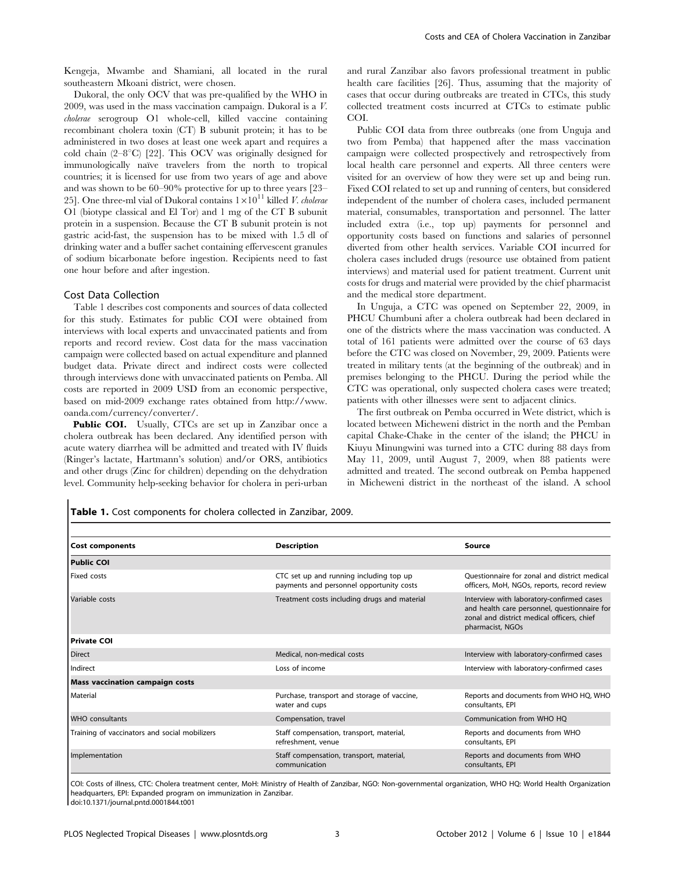Kengeja, Mwambe and Shamiani, all located in the rural southeastern Mkoani district, were chosen.

Dukoral, the only OCV that was pre-qualified by the WHO in 2009, was used in the mass vaccination campaign. Dukoral is a V. cholerae serogroup O1 whole-cell, killed vaccine containing recombinant cholera toxin (CT) B subunit protein; it has to be administered in two doses at least one week apart and requires a cold chain  $(2-8^{\circ}\text{C})$  [22]. This OCV was originally designed for immunologically naïve travelers from the north to tropical countries; it is licensed for use from two years of age and above and was shown to be 60–90% protective for up to three years [23– 25]. One three-ml vial of Dukoral contains  $1 \times 10^{11}$  killed *V. cholerae* O1 (biotype classical and El Tor) and 1 mg of the CT B subunit protein in a suspension. Because the CT B subunit protein is not gastric acid-fast, the suspension has to be mixed with 1.5 dl of drinking water and a buffer sachet containing effervescent granules of sodium bicarbonate before ingestion. Recipients need to fast one hour before and after ingestion.

#### Cost Data Collection

Table 1 describes cost components and sources of data collected for this study. Estimates for public COI were obtained from interviews with local experts and unvaccinated patients and from reports and record review. Cost data for the mass vaccination campaign were collected based on actual expenditure and planned budget data. Private direct and indirect costs were collected through interviews done with unvaccinated patients on Pemba. All costs are reported in 2009 USD from an economic perspective, based on mid-2009 exchange rates obtained from http://www. oanda.com/currency/converter/.

Public COI. Usually, CTCs are set up in Zanzibar once a cholera outbreak has been declared. Any identified person with acute watery diarrhea will be admitted and treated with IV fluids (Ringer's lactate, Hartmann's solution) and/or ORS, antibiotics and other drugs (Zinc for children) depending on the dehydration level. Community help-seeking behavior for cholera in peri-urban and rural Zanzibar also favors professional treatment in public health care facilities [26]. Thus, assuming that the majority of cases that occur during outbreaks are treated in CTCs, this study collected treatment costs incurred at CTCs to estimate public COI.

Public COI data from three outbreaks (one from Unguja and two from Pemba) that happened after the mass vaccination campaign were collected prospectively and retrospectively from local health care personnel and experts. All three centers were visited for an overview of how they were set up and being run. Fixed COI related to set up and running of centers, but considered independent of the number of cholera cases, included permanent material, consumables, transportation and personnel. The latter included extra (i.e., top up) payments for personnel and opportunity costs based on functions and salaries of personnel diverted from other health services. Variable COI incurred for cholera cases included drugs (resource use obtained from patient interviews) and material used for patient treatment. Current unit costs for drugs and material were provided by the chief pharmacist and the medical store department.

In Unguja, a CTC was opened on September 22, 2009, in PHCU Chumbuni after a cholera outbreak had been declared in one of the districts where the mass vaccination was conducted. A total of 161 patients were admitted over the course of 63 days before the CTC was closed on November, 29, 2009. Patients were treated in military tents (at the beginning of the outbreak) and in premises belonging to the PHCU. During the period while the CTC was operational, only suspected cholera cases were treated; patients with other illnesses were sent to adjacent clinics.

The first outbreak on Pemba occurred in Wete district, which is located between Micheweni district in the north and the Pemban capital Chake-Chake in the center of the island; the PHCU in Kiuyu Minungwini was turned into a CTC during 88 days from May 11, 2009, until August 7, 2009, when 88 patients were admitted and treated. The second outbreak on Pemba happened in Micheweni district in the northeast of the island. A school

Table 1. Cost components for cholera collected in Zanzibar, 2009.

| <b>Cost components</b>                        | <b>Description</b>                                                                  | Source                                                                                                                                                      |
|-----------------------------------------------|-------------------------------------------------------------------------------------|-------------------------------------------------------------------------------------------------------------------------------------------------------------|
| <b>Public COI</b>                             |                                                                                     |                                                                                                                                                             |
| <b>Fixed costs</b>                            | CTC set up and running including top up<br>payments and personnel opportunity costs | Ouestionnaire for zonal and district medical<br>officers, MoH, NGOs, reports, record review                                                                 |
| Variable costs                                | Treatment costs including drugs and material                                        | Interview with laboratory-confirmed cases<br>and health care personnel, questionnaire for<br>zonal and district medical officers, chief<br>pharmacist, NGOs |
| l Private COI                                 |                                                                                     |                                                                                                                                                             |
| <b>Direct</b>                                 | Medical, non-medical costs                                                          | Interview with laboratory-confirmed cases                                                                                                                   |
| Indirect                                      | Loss of income                                                                      | Interview with laboratory-confirmed cases                                                                                                                   |
| <b>Mass vaccination campaign costs</b>        |                                                                                     |                                                                                                                                                             |
| l Material                                    | Purchase, transport and storage of vaccine,<br>water and cups                       | Reports and documents from WHO HQ, WHO<br>consultants, EPI                                                                                                  |
| <b>WHO</b> consultants                        | Compensation, travel                                                                | Communication from WHO HQ                                                                                                                                   |
| Training of vaccinators and social mobilizers | Staff compensation, transport, material,<br>refreshment, venue                      | Reports and documents from WHO<br>consultants, EPI                                                                                                          |
| Implementation                                | Staff compensation, transport, material,<br>communication                           | Reports and documents from WHO<br>consultants, EPI                                                                                                          |

COI: Costs of illness, CTC: Cholera treatment center, MoH: Ministry of Health of Zanzibar, NGO: Non-governmental organization, WHO HQ: World Health Organization headquarters, EPI: Expanded program on immunization in Zanzibar. doi:10.1371/journal.pntd.0001844.t001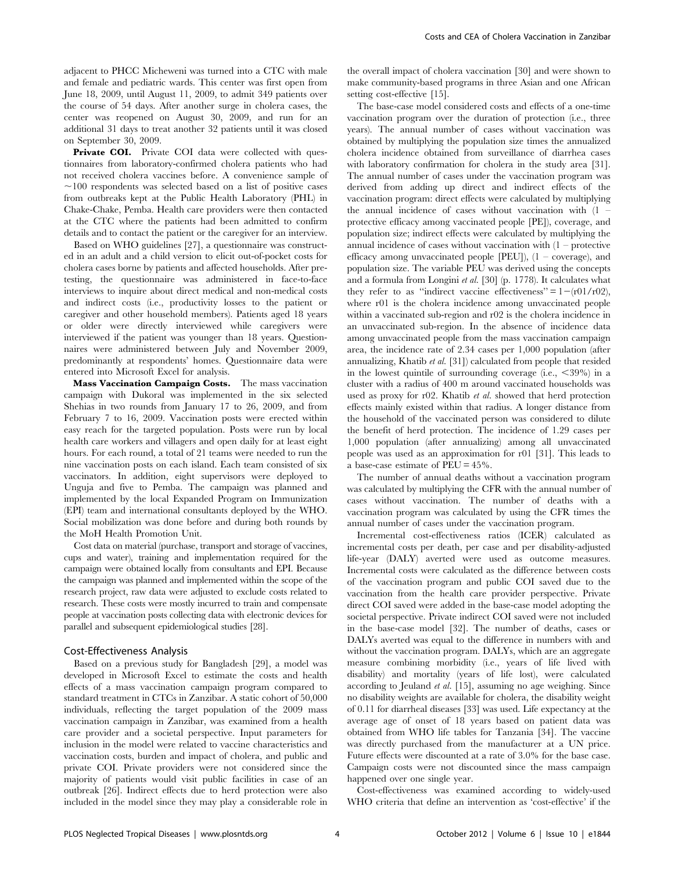adjacent to PHCC Micheweni was turned into a CTC with male and female and pediatric wards. This center was first open from June 18, 2009, until August 11, 2009, to admit 349 patients over the course of 54 days. After another surge in cholera cases, the center was reopened on August 30, 2009, and run for an additional 31 days to treat another 32 patients until it was closed on September 30, 2009.

Private COI. Private COI data were collected with questionnaires from laboratory-confirmed cholera patients who had not received cholera vaccines before. A convenience sample of  $\sim$ 100 respondents was selected based on a list of positive cases from outbreaks kept at the Public Health Laboratory (PHL) in Chake-Chake, Pemba. Health care providers were then contacted at the CTC where the patients had been admitted to confirm details and to contact the patient or the caregiver for an interview.

Based on WHO guidelines [27], a questionnaire was constructed in an adult and a child version to elicit out-of-pocket costs for cholera cases borne by patients and affected households. After pretesting, the questionnaire was administered in face-to-face interviews to inquire about direct medical and non-medical costs and indirect costs (i.e., productivity losses to the patient or caregiver and other household members). Patients aged 18 years or older were directly interviewed while caregivers were interviewed if the patient was younger than 18 years. Questionnaires were administered between July and November 2009, predominantly at respondents' homes. Questionnaire data were entered into Microsoft Excel for analysis.

Mass Vaccination Campaign Costs. The mass vaccination campaign with Dukoral was implemented in the six selected Shehias in two rounds from January 17 to 26, 2009, and from February 7 to 16, 2009. Vaccination posts were erected within easy reach for the targeted population. Posts were run by local health care workers and villagers and open daily for at least eight hours. For each round, a total of 21 teams were needed to run the nine vaccination posts on each island. Each team consisted of six vaccinators. In addition, eight supervisors were deployed to Unguja and five to Pemba. The campaign was planned and implemented by the local Expanded Program on Immunization (EPI) team and international consultants deployed by the WHO. Social mobilization was done before and during both rounds by the MoH Health Promotion Unit.

Cost data on material (purchase, transport and storage of vaccines, cups and water), training and implementation required for the campaign were obtained locally from consultants and EPI. Because the campaign was planned and implemented within the scope of the research project, raw data were adjusted to exclude costs related to research. These costs were mostly incurred to train and compensate people at vaccination posts collecting data with electronic devices for parallel and subsequent epidemiological studies [28].

#### Cost-Effectiveness Analysis

Based on a previous study for Bangladesh [29], a model was developed in Microsoft Excel to estimate the costs and health effects of a mass vaccination campaign program compared to standard treatment in CTCs in Zanzibar. A static cohort of 50,000 individuals, reflecting the target population of the 2009 mass vaccination campaign in Zanzibar, was examined from a health care provider and a societal perspective. Input parameters for inclusion in the model were related to vaccine characteristics and vaccination costs, burden and impact of cholera, and public and private COI. Private providers were not considered since the majority of patients would visit public facilities in case of an outbreak [26]. Indirect effects due to herd protection were also included in the model since they may play a considerable role in the overall impact of cholera vaccination [30] and were shown to make community-based programs in three Asian and one African setting cost-effective [15].

The base-case model considered costs and effects of a one-time vaccination program over the duration of protection (i.e., three years). The annual number of cases without vaccination was obtained by multiplying the population size times the annualized cholera incidence obtained from surveillance of diarrhea cases with laboratory confirmation for cholera in the study area [31]. The annual number of cases under the vaccination program was derived from adding up direct and indirect effects of the vaccination program: direct effects were calculated by multiplying the annual incidence of cases without vaccination with (1 – protective efficacy among vaccinated people [PE]), coverage, and population size; indirect effects were calculated by multiplying the annual incidence of cases without vaccination with  $(1 -$  protective efficacy among unvaccinated people [PEU]), (1 – coverage), and population size. The variable PEU was derived using the concepts and a formula from Longini et al. [30] (p. 1778). It calculates what they refer to as "indirect vaccine effectiveness" =  $1-(r01/r02)$ , where r01 is the cholera incidence among unvaccinated people within a vaccinated sub-region and r02 is the cholera incidence in an unvaccinated sub-region. In the absence of incidence data among unvaccinated people from the mass vaccination campaign area, the incidence rate of 2.34 cases per 1,000 population (after annualizing, Khatib et al. [31]) calculated from people that resided in the lowest quintile of surrounding coverage (i.e.,  $\langle 39\% \rangle$  in a cluster with a radius of 400 m around vaccinated households was used as proxy for r02. Khatib et al. showed that herd protection effects mainly existed within that radius. A longer distance from the household of the vaccinated person was considered to dilute the benefit of herd protection. The incidence of 1.29 cases per 1,000 population (after annualizing) among all unvaccinated people was used as an approximation for r01 [31]. This leads to a base-case estimate of PEU = 45%.

The number of annual deaths without a vaccination program was calculated by multiplying the CFR with the annual number of cases without vaccination. The number of deaths with a vaccination program was calculated by using the CFR times the annual number of cases under the vaccination program.

Incremental cost-effectiveness ratios (ICER) calculated as incremental costs per death, per case and per disability-adjusted life-year (DALY) averted were used as outcome measures. Incremental costs were calculated as the difference between costs of the vaccination program and public COI saved due to the vaccination from the health care provider perspective. Private direct COI saved were added in the base-case model adopting the societal perspective. Private indirect COI saved were not included in the base-case model [32]. The number of deaths, cases or DALYs averted was equal to the difference in numbers with and without the vaccination program. DALYs, which are an aggregate measure combining morbidity (i.e., years of life lived with disability) and mortality (years of life lost), were calculated according to Jeuland et al. [15], assuming no age weighing. Since no disability weights are available for cholera, the disability weight of 0.11 for diarrheal diseases [33] was used. Life expectancy at the average age of onset of 18 years based on patient data was obtained from WHO life tables for Tanzania [34]. The vaccine was directly purchased from the manufacturer at a UN price. Future effects were discounted at a rate of 3.0% for the base case. Campaign costs were not discounted since the mass campaign happened over one single year.

Cost-effectiveness was examined according to widely-used WHO criteria that define an intervention as 'cost-effective' if the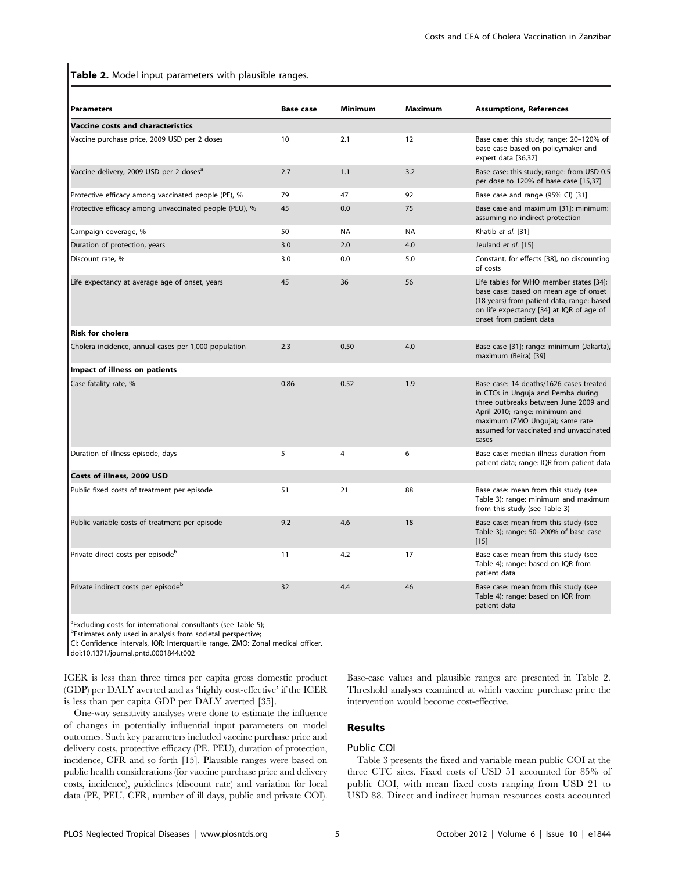Table 2. Model input parameters with plausible ranges.

| <b>Parameters</b>                                      | <b>Base case</b> | <b>Minimum</b> | <b>Maximum</b> | <b>Assumptions, References</b>                                                                                                                                                                                                                  |
|--------------------------------------------------------|------------------|----------------|----------------|-------------------------------------------------------------------------------------------------------------------------------------------------------------------------------------------------------------------------------------------------|
| <b>Vaccine costs and characteristics</b>               |                  |                |                |                                                                                                                                                                                                                                                 |
| Vaccine purchase price, 2009 USD per 2 doses           | 10               | 2.1            | 12             | Base case: this study; range: 20-120% of<br>base case based on policymaker and<br>expert data [36,37]                                                                                                                                           |
| Vaccine delivery, 2009 USD per 2 doses <sup>a</sup>    | 2.7              | 1.1            | 3.2            | Base case: this study; range: from USD 0.5<br>per dose to 120% of base case [15,37]                                                                                                                                                             |
| Protective efficacy among vaccinated people (PE), %    | 79               | 47             | 92             | Base case and range (95% CI) [31]                                                                                                                                                                                                               |
| Protective efficacy among unvaccinated people (PEU), % | 45               | 0.0            | 75             | Base case and maximum [31]; minimum:<br>assuming no indirect protection                                                                                                                                                                         |
| Campaign coverage, %                                   | 50               | <b>NA</b>      | <b>NA</b>      | Khatib et al. [31]                                                                                                                                                                                                                              |
| Duration of protection, years                          | 3.0              | 2.0            | 4.0            | Jeuland et al. [15]                                                                                                                                                                                                                             |
| Discount rate, %                                       | 3.0              | 0.0            | 5.0            | Constant, for effects [38], no discounting<br>of costs                                                                                                                                                                                          |
| Life expectancy at average age of onset, years         | 45               | 36             | 56             | Life tables for WHO member states [34];<br>base case: based on mean age of onset<br>(18 years) from patient data; range: based<br>on life expectancy [34] at IQR of age of<br>onset from patient data                                           |
| <b>Risk for cholera</b>                                |                  |                |                |                                                                                                                                                                                                                                                 |
| Cholera incidence, annual cases per 1,000 population   | 2.3              | 0.50           | 4.0            | Base case [31]; range: minimum (Jakarta),<br>maximum (Beira) [39]                                                                                                                                                                               |
| Impact of illness on patients                          |                  |                |                |                                                                                                                                                                                                                                                 |
| Case-fatality rate, %                                  | 0.86             | 0.52           | 1.9            | Base case: 14 deaths/1626 cases treated<br>in CTCs in Unguja and Pemba during<br>three outbreaks between June 2009 and<br>April 2010; range: minimum and<br>maximum (ZMO Unguja); same rate<br>assumed for vaccinated and unvaccinated<br>cases |
| Duration of illness episode, days                      | 5                | 4              | 6              | Base case: median illness duration from<br>patient data; range: IQR from patient data                                                                                                                                                           |
| Costs of illness, 2009 USD                             |                  |                |                |                                                                                                                                                                                                                                                 |
| Public fixed costs of treatment per episode            | 51               | 21             | 88             | Base case: mean from this study (see<br>Table 3); range: minimum and maximum<br>from this study (see Table 3)                                                                                                                                   |
| Public variable costs of treatment per episode         | 9.2              | 4.6            | 18             | Base case: mean from this study (see<br>Table 3); range: 50-200% of base case<br>$[15]$                                                                                                                                                         |
| Private direct costs per episode <sup>b</sup>          | 11               | 4.2            | 17             | Base case: mean from this study (see<br>Table 4); range: based on IQR from<br>patient data                                                                                                                                                      |
| Private indirect costs per episode <sup>b</sup>        | 32               | 4.4            | 46             | Base case: mean from this study (see<br>Table 4); range: based on IQR from<br>patient data                                                                                                                                                      |

<sup>a</sup> Excluding costs for international consultants (see Table 5);

**bEstimates only used in analysis from societal perspective;** 

CI: Confidence intervals, IQR: Interquartile range, ZMO: Zonal medical officer.

doi:10.1371/journal.pntd.0001844.t002

ICER is less than three times per capita gross domestic product (GDP) per DALY averted and as 'highly cost-effective' if the ICER is less than per capita GDP per DALY averted [35].

One-way sensitivity analyses were done to estimate the influence of changes in potentially influential input parameters on model outcomes. Such key parameters included vaccine purchase price and delivery costs, protective efficacy (PE, PEU), duration of protection, incidence, CFR and so forth [15]. Plausible ranges were based on public health considerations (for vaccine purchase price and delivery costs, incidence), guidelines (discount rate) and variation for local data (PE, PEU, CFR, number of ill days, public and private COI).

Base-case values and plausible ranges are presented in Table 2. Threshold analyses examined at which vaccine purchase price the intervention would become cost-effective.

## Results

## Public COI

Table 3 presents the fixed and variable mean public COI at the three CTC sites. Fixed costs of USD 51 accounted for 85% of public COI, with mean fixed costs ranging from USD 21 to USD 88. Direct and indirect human resources costs accounted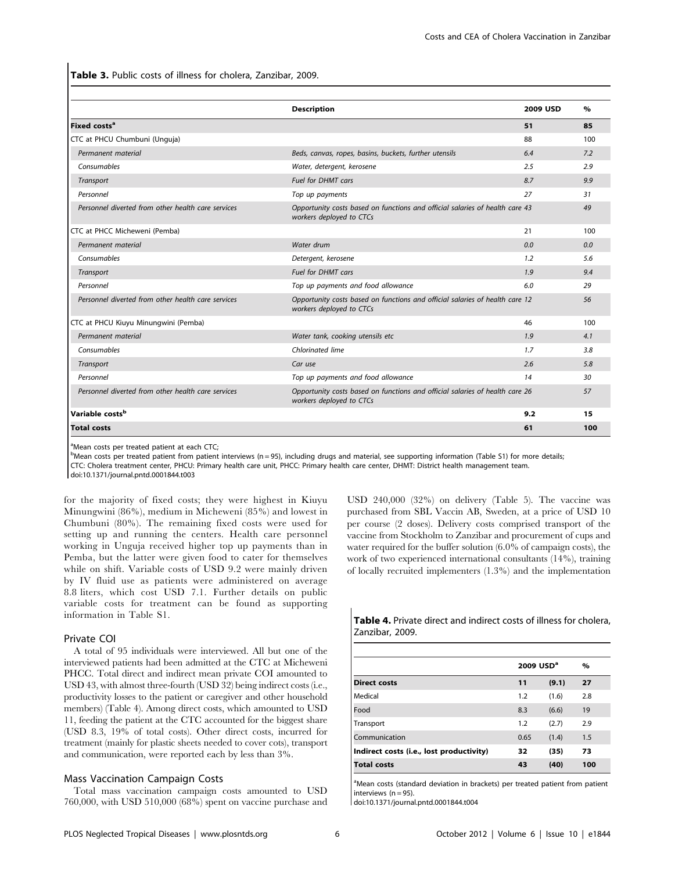Table 3. Public costs of illness for cholera, Zanzibar, 2009.

|                                                    | <b>Description</b>                                                                                       | 2009 USD | $\%$ |
|----------------------------------------------------|----------------------------------------------------------------------------------------------------------|----------|------|
| Fixed costs <sup>a</sup>                           |                                                                                                          | 51       | 85   |
| CTC at PHCU Chumbuni (Unguja)                      |                                                                                                          | 88       | 100  |
| Permanent material                                 | Beds, canvas, ropes, basins, buckets, further utensils                                                   | 6.4      | 7.2  |
| Consumables                                        | Water, detergent, kerosene                                                                               | 2.5      | 2.9  |
| Transport                                          | <b>Fuel for DHMT cars</b>                                                                                | 8.7      | 9.9  |
| Personnel                                          | Top up payments                                                                                          | 27       | 31   |
| Personnel diverted from other health care services | Opportunity costs based on functions and official salaries of health care 43<br>workers deployed to CTCs |          | 49   |
| CTC at PHCC Micheweni (Pemba)                      |                                                                                                          | 21       | 100  |
| Permanent material                                 | Water drum                                                                                               | 0.0      | 0.0  |
| Consumables                                        | Detergent, kerosene                                                                                      | 1.2      | 5.6  |
| Transport                                          | <b>Fuel for DHMT cars</b>                                                                                | 1.9      | 9.4  |
| Personnel                                          | Top up payments and food allowance                                                                       | 6.0      | 29   |
| Personnel diverted from other health care services | Opportunity costs based on functions and official salaries of health care 12<br>workers deployed to CTCs |          | 56   |
| CTC at PHCU Kiuyu Minungwini (Pemba)               |                                                                                                          | 46       | 100  |
| Permanent material                                 | Water tank, cooking utensils etc                                                                         | 1.9      | 4.1  |
| Consumables                                        | Chlorinated lime                                                                                         | 1.7      | 3.8  |
| Transport                                          | Car use                                                                                                  | 2.6      | 5.8  |
| Personnel                                          | Top up payments and food allowance                                                                       | 14       | 30   |
| Personnel diverted from other health care services | Opportunity costs based on functions and official salaries of health care 26<br>workers deployed to CTCs |          | 57   |
| Variable costs <sup>b</sup>                        |                                                                                                          | 9.2      | 15   |
| <b>Total costs</b>                                 |                                                                                                          | 61       | 100  |

<sup>a</sup>Mean costs per treated patient at each CTC;

b<br>Mean costs per treated patient from patient interviews (n = 95), including drugs and material, see supporting information (Table S1) for more details;

CTC: Cholera treatment center, PHCU: Primary health care unit, PHCC: Primary health care center, DHMT: District health management team.

doi:10.1371/journal.pntd.0001844.t003

for the majority of fixed costs; they were highest in Kiuyu Minungwini (86%), medium in Micheweni (85%) and lowest in Chumbuni (80%). The remaining fixed costs were used for setting up and running the centers. Health care personnel working in Unguja received higher top up payments than in Pemba, but the latter were given food to cater for themselves while on shift. Variable costs of USD 9.2 were mainly driven by IV fluid use as patients were administered on average 8.8 liters, which cost USD 7.1. Further details on public variable costs for treatment can be found as supporting information in Table S1.

#### Private COI

A total of 95 individuals were interviewed. All but one of the interviewed patients had been admitted at the CTC at Micheweni PHCC. Total direct and indirect mean private COI amounted to USD 43, with almost three-fourth (USD 32) being indirect costs (i.e., productivity losses to the patient or caregiver and other household members) (Table 4). Among direct costs, which amounted to USD 11, feeding the patient at the CTC accounted for the biggest share (USD 8.3, 19% of total costs). Other direct costs, incurred for treatment (mainly for plastic sheets needed to cover cots), transport and communication, were reported each by less than 3%.

#### Mass Vaccination Campaign Costs

Total mass vaccination campaign costs amounted to USD 760,000, with USD 510,000 (68%) spent on vaccine purchase and USD 240,000 (32%) on delivery (Table 5). The vaccine was purchased from SBL Vaccin AB, Sweden, at a price of USD 10 per course (2 doses). Delivery costs comprised transport of the vaccine from Stockholm to Zanzibar and procurement of cups and water required for the buffer solution (6.0% of campaign costs), the work of two experienced international consultants (14%), training of locally recruited implementers (1.3%) and the implementation

Table 4. Private direct and indirect costs of illness for cholera, Zanzibar, 2009.

|                                          | 2009 USD <sup>a</sup> |       | $\%$ |
|------------------------------------------|-----------------------|-------|------|
| <b>Direct costs</b>                      | 11                    | (9.1) | 27   |
| Medical                                  | 1.2                   | (1.6) | 2.8  |
| Food                                     | 8.3                   | (6.6) | 19   |
| Transport                                | 1.2                   | (2.7) | 2.9  |
| Communication                            | 0.65                  | (1.4) | 1.5  |
| Indirect costs (i.e., lost productivity) | 32                    | (35)  | 73   |
| <b>Total costs</b>                       | 43                    | (40)  | 100  |

<sup>a</sup>Mean costs (standard deviation in brackets) per treated patient from patient interviews  $(n = 95)$ .

doi:10.1371/journal.pntd.0001844.t004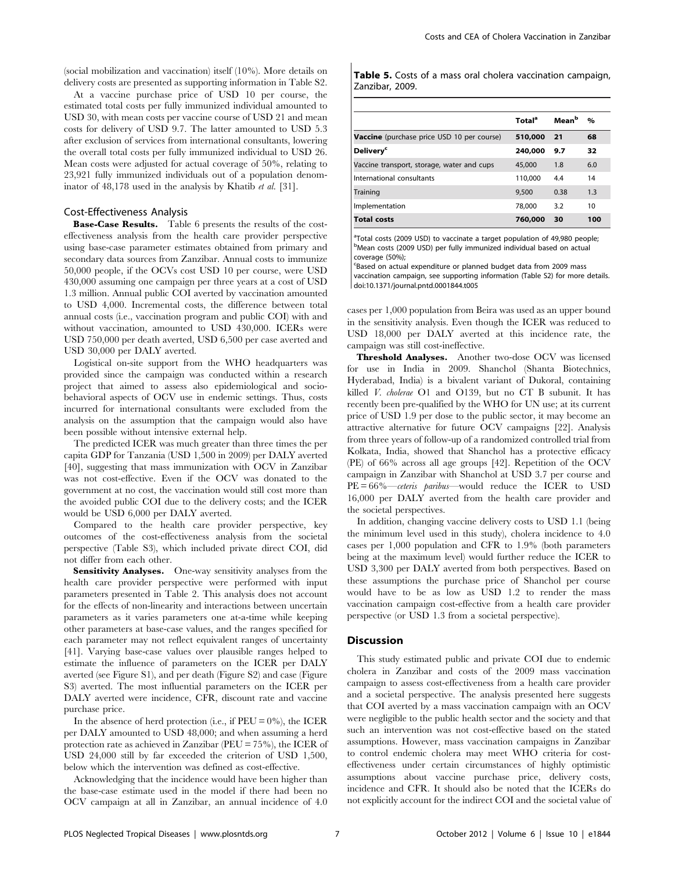(social mobilization and vaccination) itself (10%). More details on delivery costs are presented as supporting information in Table S2.

At a vaccine purchase price of USD 10 per course, the estimated total costs per fully immunized individual amounted to USD 30, with mean costs per vaccine course of USD 21 and mean costs for delivery of USD 9.7. The latter amounted to USD 5.3 after exclusion of services from international consultants, lowering the overall total costs per fully immunized individual to USD 26. Mean costs were adjusted for actual coverage of 50%, relating to 23,921 fully immunized individuals out of a population denominator of 48,178 used in the analysis by Khatib et al. [31].

#### Cost-Effectiveness Analysis

Base-Case Results. Table 6 presents the results of the costeffectiveness analysis from the health care provider perspective using base-case parameter estimates obtained from primary and secondary data sources from Zanzibar. Annual costs to immunize 50,000 people, if the OCVs cost USD 10 per course, were USD 430,000 assuming one campaign per three years at a cost of USD 1.3 million. Annual public COI averted by vaccination amounted to USD 4,000. Incremental costs, the difference between total annual costs (i.e., vaccination program and public COI) with and without vaccination, amounted to USD 430,000. ICERs were USD 750,000 per death averted, USD 6,500 per case averted and USD 30,000 per DALY averted.

Logistical on-site support from the WHO headquarters was provided since the campaign was conducted within a research project that aimed to assess also epidemiological and sociobehavioral aspects of OCV use in endemic settings. Thus, costs incurred for international consultants were excluded from the analysis on the assumption that the campaign would also have been possible without intensive external help.

The predicted ICER was much greater than three times the per capita GDP for Tanzania (USD 1,500 in 2009) per DALY averted [40], suggesting that mass immunization with OCV in Zanzibar was not cost-effective. Even if the OCV was donated to the government at no cost, the vaccination would still cost more than the avoided public COI due to the delivery costs; and the ICER would be USD 6,000 per DALY averted.

Compared to the health care provider perspective, key outcomes of the cost-effectiveness analysis from the societal perspective (Table S3), which included private direct COI, did not differ from each other.

Sensitivity Analyses. One-way sensitivity analyses from the health care provider perspective were performed with input parameters presented in Table 2. This analysis does not account for the effects of non-linearity and interactions between uncertain parameters as it varies parameters one at-a-time while keeping other parameters at base-case values, and the ranges specified for each parameter may not reflect equivalent ranges of uncertainty [41]. Varying base-case values over plausible ranges helped to estimate the influence of parameters on the ICER per DALY averted (see Figure S1), and per death (Figure S2) and case (Figure S3) averted. The most influential parameters on the ICER per DALY averted were incidence, CFR, discount rate and vaccine purchase price.

In the absence of herd protection (i.e., if  $PEU = 0\%$ ), the ICER per DALY amounted to USD 48,000; and when assuming a herd protection rate as achieved in Zanzibar (PEU = 75%), the ICER of USD 24,000 still by far exceeded the criterion of USD 1,500, below which the intervention was defined as cost-effective.

Acknowledging that the incidence would have been higher than the base-case estimate used in the model if there had been no OCV campaign at all in Zanzibar, an annual incidence of 4.0

Table 5. Costs of a mass oral cholera vaccination campaign, Zanzibar, 2009.

|                                                   | <b>Total</b> <sup>a</sup> | Mean <sup>b</sup> | $\%$ |
|---------------------------------------------------|---------------------------|-------------------|------|
| <b>Vaccine</b> (purchase price USD 10 per course) | 510,000                   | - 21              | 68   |
| <b>Delivery<sup>c</sup></b>                       | 240,000                   | 9.7               | 32   |
| Vaccine transport, storage, water and cups        | 45,000                    | 1.8               | 6.0  |
| International consultants                         | 110,000                   | 4.4               | 14   |
| Training                                          | 9,500                     | 0.38              | 1.3  |
| Implementation                                    | 78,000                    | 3.2               | 10   |
| <b>Total costs</b>                                | 760,000                   | 30                | 100  |

<sup>a</sup>Total costs (2009 USD) to vaccinate a target population of 49,980 people <sup>b</sup>Mean costs (2009 USD) per fully immunized individual based on actual coverage (50%);

c Based on actual expenditure or planned budget data from 2009 mass

vaccination campaign, see supporting information (Table S2) for more details. doi:10.1371/journal.pntd.0001844.t005

cases per 1,000 population from Beira was used as an upper bound in the sensitivity analysis. Even though the ICER was reduced to USD 18,000 per DALY averted at this incidence rate, the campaign was still cost-ineffective.

Threshold Analyses. Another two-dose OCV was licensed for use in India in 2009. Shanchol (Shanta Biotechnics, Hyderabad, India) is a bivalent variant of Dukoral, containing killed V. cholerae O1 and O139, but no CT B subunit. It has recently been pre-qualified by the WHO for UN use; at its current price of USD 1.9 per dose to the public sector, it may become an attractive alternative for future OCV campaigns [22]. Analysis from three years of follow-up of a randomized controlled trial from Kolkata, India, showed that Shanchol has a protective efficacy (PE) of 66% across all age groups [42]. Repetition of the OCV campaign in Zanzibar with Shanchol at USD 3.7 per course and  $PE = 66\%$ —ceteris paribus—would reduce the ICER to USD 16,000 per DALY averted from the health care provider and the societal perspectives.

In addition, changing vaccine delivery costs to USD 1.1 (being the minimum level used in this study), cholera incidence to 4.0 cases per 1,000 population and CFR to 1.9% (both parameters being at the maximum level) would further reduce the ICER to USD 3,300 per DALY averted from both perspectives. Based on these assumptions the purchase price of Shanchol per course would have to be as low as USD 1.2 to render the mass vaccination campaign cost-effective from a health care provider perspective (or USD 1.3 from a societal perspective).

#### **Discussion**

This study estimated public and private COI due to endemic cholera in Zanzibar and costs of the 2009 mass vaccination campaign to assess cost-effectiveness from a health care provider and a societal perspective. The analysis presented here suggests that COI averted by a mass vaccination campaign with an OCV were negligible to the public health sector and the society and that such an intervention was not cost-effective based on the stated assumptions. However, mass vaccination campaigns in Zanzibar to control endemic cholera may meet WHO criteria for costeffectiveness under certain circumstances of highly optimistic assumptions about vaccine purchase price, delivery costs, incidence and CFR. It should also be noted that the ICERs do not explicitly account for the indirect COI and the societal value of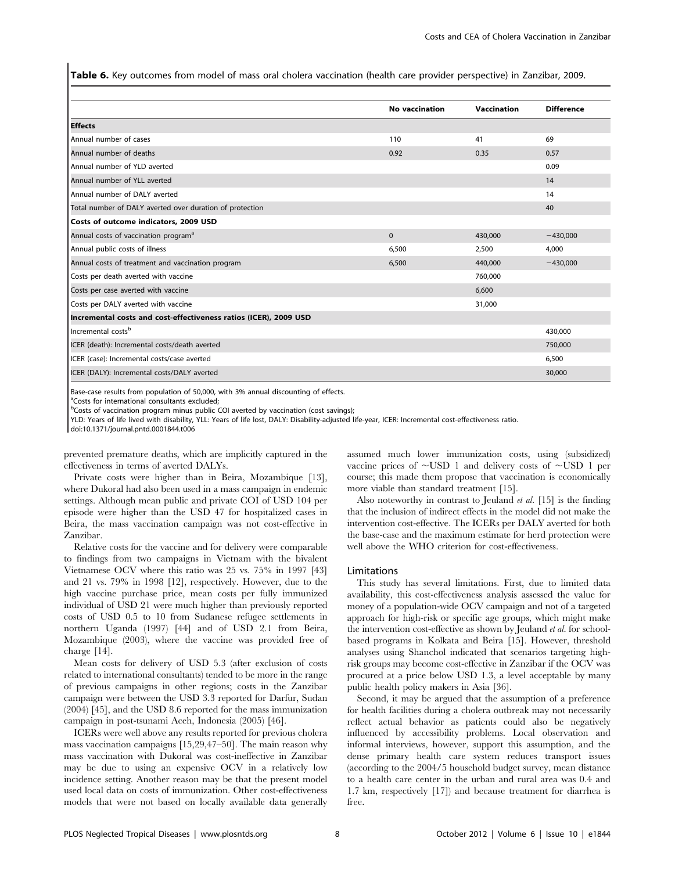Table 6. Key outcomes from model of mass oral cholera vaccination (health care provider perspective) in Zanzibar, 2009.

|                                                                  | <b>No vaccination</b> | Vaccination | <b>Difference</b> |
|------------------------------------------------------------------|-----------------------|-------------|-------------------|
| <b>Effects</b>                                                   |                       |             |                   |
| Annual number of cases                                           | 110                   | 41          | 69                |
| Annual number of deaths                                          | 0.92                  | 0.35        | 0.57              |
| Annual number of YLD averted                                     |                       |             | 0.09              |
| Annual number of YLL averted                                     |                       |             | 14                |
| Annual number of DALY averted                                    |                       |             | 14                |
| Total number of DALY averted over duration of protection         |                       |             | 40                |
| Costs of outcome indicators, 2009 USD                            |                       |             |                   |
| Annual costs of vaccination program <sup>a</sup>                 | $\Omega$              | 430,000     | $-430,000$        |
| Annual public costs of illness                                   | 6,500                 | 2,500       | 4,000             |
| Annual costs of treatment and vaccination program                | 6,500                 | 440,000     | $-430,000$        |
| Costs per death averted with vaccine                             |                       | 760,000     |                   |
| Costs per case averted with vaccine                              |                       | 6,600       |                   |
| Costs per DALY averted with vaccine                              |                       | 31,000      |                   |
| Incremental costs and cost-effectiveness ratios (ICER), 2009 USD |                       |             |                   |
| Incremental costs <sup>b</sup>                                   |                       |             | 430,000           |
| ICER (death): Incremental costs/death averted                    |                       |             | 750,000           |
| ICER (case): Incremental costs/case averted                      |                       |             | 6,500             |
| ICER (DALY): Incremental costs/DALY averted                      |                       |             | 30,000            |

Base-case results from population of 50,000, with 3% annual discounting of effects.

a Costs for international consultants excluded;

<sup>b</sup>Costs of vaccination program minus public COI averted by vaccination (cost savings);

YLD: Years of life lived with disability, YLL: Years of life lost, DALY: Disability-adjusted life-year, ICER: Incremental cost-effectiveness ratio.

doi:10.1371/journal.pntd.0001844.t006

prevented premature deaths, which are implicitly captured in the effectiveness in terms of averted DALYs.

Private costs were higher than in Beira, Mozambique [13], where Dukoral had also been used in a mass campaign in endemic settings. Although mean public and private COI of USD 104 per episode were higher than the USD 47 for hospitalized cases in Beira, the mass vaccination campaign was not cost-effective in Zanzibar.

Relative costs for the vaccine and for delivery were comparable to findings from two campaigns in Vietnam with the bivalent Vietnamese OCV where this ratio was 25 vs. 75% in 1997 [43] and 21 vs. 79% in 1998 [12], respectively. However, due to the high vaccine purchase price, mean costs per fully immunized individual of USD 21 were much higher than previously reported costs of USD 0.5 to 10 from Sudanese refugee settlements in northern Uganda (1997) [44] and of USD 2.1 from Beira, Mozambique (2003), where the vaccine was provided free of charge [14].

Mean costs for delivery of USD 5.3 (after exclusion of costs related to international consultants) tended to be more in the range of previous campaigns in other regions; costs in the Zanzibar campaign were between the USD 3.3 reported for Darfur, Sudan (2004) [45], and the USD 8.6 reported for the mass immunization campaign in post-tsunami Aceh, Indonesia (2005) [46].

ICERs were well above any results reported for previous cholera mass vaccination campaigns [15,29,47–50]. The main reason why mass vaccination with Dukoral was cost-ineffective in Zanzibar may be due to using an expensive OCV in a relatively low incidence setting. Another reason may be that the present model used local data on costs of immunization. Other cost-effectiveness models that were not based on locally available data generally

assumed much lower immunization costs, using (subsidized) vaccine prices of  $\sim$ USD 1 and delivery costs of  $\sim$ USD 1 per course; this made them propose that vaccination is economically more viable than standard treatment [15].

Also noteworthy in contrast to Jeuland et al. [15] is the finding that the inclusion of indirect effects in the model did not make the intervention cost-effective. The ICERs per DALY averted for both the base-case and the maximum estimate for herd protection were well above the WHO criterion for cost-effectiveness.

#### Limitations

This study has several limitations. First, due to limited data availability, this cost-effectiveness analysis assessed the value for money of a population-wide OCV campaign and not of a targeted approach for high-risk or specific age groups, which might make the intervention cost-effective as shown by Jeuland et al. for schoolbased programs in Kolkata and Beira [15]. However, threshold analyses using Shanchol indicated that scenarios targeting highrisk groups may become cost-effective in Zanzibar if the OCV was procured at a price below USD 1.3, a level acceptable by many public health policy makers in Asia [36].

Second, it may be argued that the assumption of a preference for health facilities during a cholera outbreak may not necessarily reflect actual behavior as patients could also be negatively influenced by accessibility problems. Local observation and informal interviews, however, support this assumption, and the dense primary health care system reduces transport issues (according to the 2004/5 household budget survey, mean distance to a health care center in the urban and rural area was 0.4 and 1.7 km, respectively [17]) and because treatment for diarrhea is free.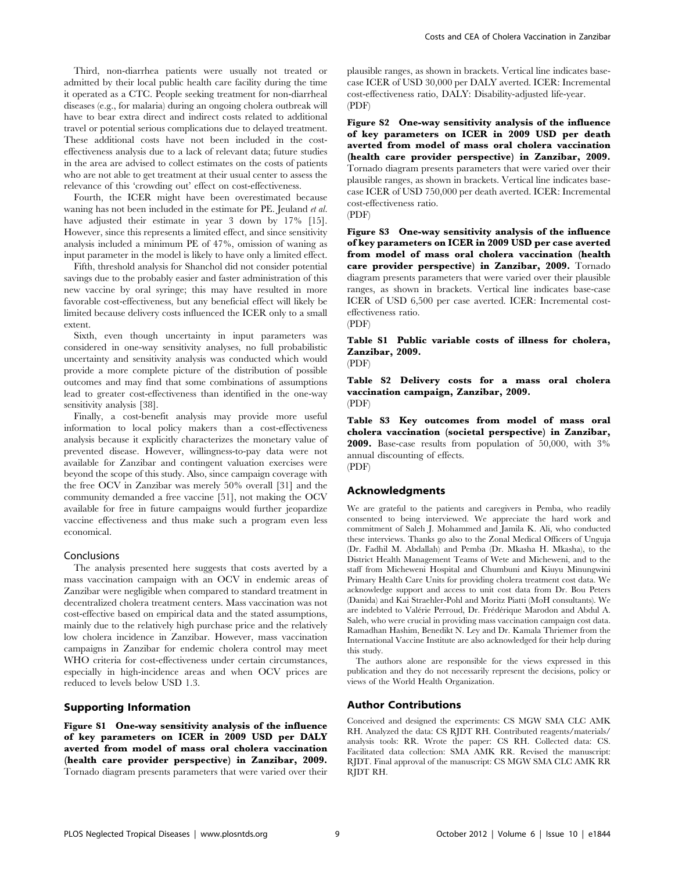Third, non-diarrhea patients were usually not treated or admitted by their local public health care facility during the time it operated as a CTC. People seeking treatment for non-diarrheal diseases (e.g., for malaria) during an ongoing cholera outbreak will have to bear extra direct and indirect costs related to additional travel or potential serious complications due to delayed treatment. These additional costs have not been included in the costeffectiveness analysis due to a lack of relevant data; future studies in the area are advised to collect estimates on the costs of patients who are not able to get treatment at their usual center to assess the relevance of this 'crowding out' effect on cost-effectiveness.

Fourth, the ICER might have been overestimated because waning has not been included in the estimate for PE. Jeuland et al. have adjusted their estimate in year 3 down by 17% [15]. However, since this represents a limited effect, and since sensitivity analysis included a minimum PE of 47%, omission of waning as input parameter in the model is likely to have only a limited effect.

Fifth, threshold analysis for Shanchol did not consider potential savings due to the probably easier and faster administration of this new vaccine by oral syringe; this may have resulted in more favorable cost-effectiveness, but any beneficial effect will likely be limited because delivery costs influenced the ICER only to a small extent.

Sixth, even though uncertainty in input parameters was considered in one-way sensitivity analyses, no full probabilistic uncertainty and sensitivity analysis was conducted which would provide a more complete picture of the distribution of possible outcomes and may find that some combinations of assumptions lead to greater cost-effectiveness than identified in the one-way sensitivity analysis [38].

Finally, a cost-benefit analysis may provide more useful information to local policy makers than a cost-effectiveness analysis because it explicitly characterizes the monetary value of prevented disease. However, willingness-to-pay data were not available for Zanzibar and contingent valuation exercises were beyond the scope of this study. Also, since campaign coverage with the free OCV in Zanzibar was merely 50% overall [31] and the community demanded a free vaccine [51], not making the OCV available for free in future campaigns would further jeopardize vaccine effectiveness and thus make such a program even less economical.

#### Conclusions

The analysis presented here suggests that costs averted by a mass vaccination campaign with an OCV in endemic areas of Zanzibar were negligible when compared to standard treatment in decentralized cholera treatment centers. Mass vaccination was not cost-effective based on empirical data and the stated assumptions, mainly due to the relatively high purchase price and the relatively low cholera incidence in Zanzibar. However, mass vaccination campaigns in Zanzibar for endemic cholera control may meet WHO criteria for cost-effectiveness under certain circumstances, especially in high-incidence areas and when OCV prices are reduced to levels below USD 1.3.

#### Supporting Information

Figure S1 One-way sensitivity analysis of the influence of key parameters on ICER in 2009 USD per DALY averted from model of mass oral cholera vaccination (health care provider perspective) in Zanzibar, 2009. Tornado diagram presents parameters that were varied over their plausible ranges, as shown in brackets. Vertical line indicates basecase ICER of USD 30,000 per DALY averted. ICER: Incremental cost-effectiveness ratio, DALY: Disability-adjusted life-year. (PDF)

Figure S2 One-way sensitivity analysis of the influence of key parameters on ICER in 2009 USD per death averted from model of mass oral cholera vaccination (health care provider perspective) in Zanzibar, 2009. Tornado diagram presents parameters that were varied over their plausible ranges, as shown in brackets. Vertical line indicates basecase ICER of USD 750,000 per death averted. ICER: Incremental cost-effectiveness ratio.

(PDF)

Figure S3 One-way sensitivity analysis of the influence of key parameters on ICER in 2009 USD per case averted from model of mass oral cholera vaccination (health care provider perspective) in Zanzibar, 2009. Tornado diagram presents parameters that were varied over their plausible ranges, as shown in brackets. Vertical line indicates base-case ICER of USD 6,500 per case averted. ICER: Incremental costeffectiveness ratio.

(PDF)

Table S1 Public variable costs of illness for cholera, Zanzibar, 2009.

(PDF)

Table S2 Delivery costs for a mass oral cholera vaccination campaign, Zanzibar, 2009. (PDF)

Table S3 Key outcomes from model of mass oral cholera vaccination (societal perspective) in Zanzibar, 2009. Base-case results from population of 50,000, with 3% annual discounting of effects. (PDF)

#### Acknowledgments

We are grateful to the patients and caregivers in Pemba, who readily consented to being interviewed. We appreciate the hard work and commitment of Saleh J. Mohammed and Jamila K. Ali, who conducted these interviews. Thanks go also to the Zonal Medical Officers of Unguja (Dr. Fadhil M. Abdallah) and Pemba (Dr. Mkasha H. Mkasha), to the District Health Management Teams of Wete and Micheweni, and to the staff from Micheweni Hospital and Chumbuni and Kiuyu Minungwini Primary Health Care Units for providing cholera treatment cost data. We acknowledge support and access to unit cost data from Dr. Bou Peters (Danida) and Kai Straehler-Pohl and Moritz Piatti (MoH consultants). We are indebted to Valérie Perroud, Dr. Frédérique Marodon and Abdul A. Saleh, who were crucial in providing mass vaccination campaign cost data. Ramadhan Hashim, Benedikt N. Ley and Dr. Kamala Thriemer from the International Vaccine Institute are also acknowledged for their help during this study.

The authors alone are responsible for the views expressed in this publication and they do not necessarily represent the decisions, policy or views of the World Health Organization.

## Author Contributions

Conceived and designed the experiments: CS MGW SMA CLC AMK RH. Analyzed the data: CS RJDT RH. Contributed reagents/materials/ analysis tools: RR. Wrote the paper: CS RH. Collected data: CS. Facilitated data collection: SMA AMK RR. Revised the manuscript: RJDT. Final approval of the manuscript: CS MGW SMA CLC AMK RR RJDT RH.